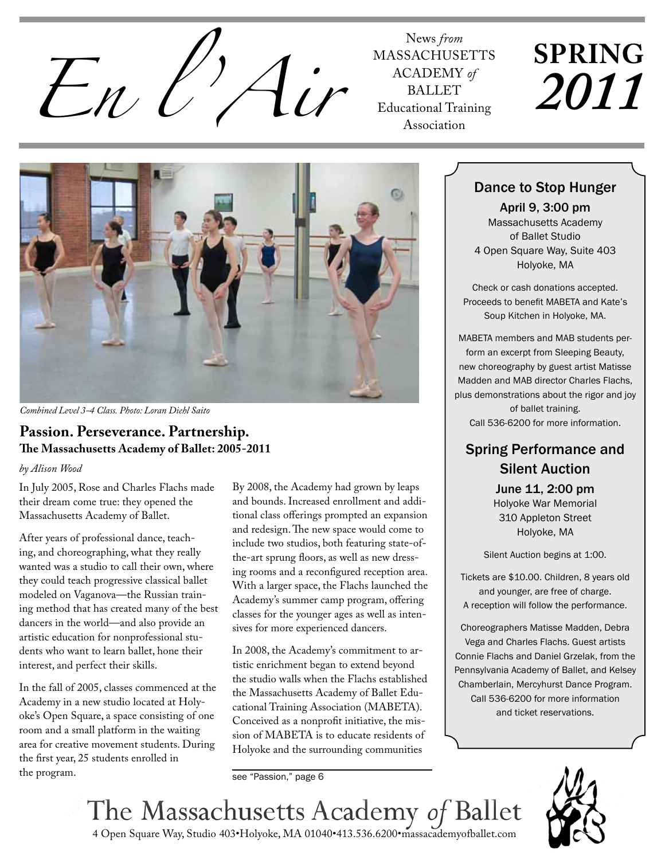

**MASSACHUSETTS** ACADEMY of **BALLET** Educational Training Association

# **SPRING** *2011*



*Combined Level 3-4 Class. Photo: Loran Diehl Saito*

#### **Passion. Perseverance. Partnership. The Massachusetts Academy of Ballet: 2005-2011**

#### *by Alison Wood*

In July 2005, Rose and Charles Flachs made their dream come true: they opened the Massachusetts Academy of Ballet.

After years of professional dance, teaching, and choreographing, what they really wanted was a studio to call their own, where they could teach progressive classical ballet modeled on Vaganova—the Russian training method that has created many of the best dancers in the world—and also provide an artistic education for nonprofessional students who want to learn ballet, hone their interest, and perfect their skills.

In the fall of 2005, classes commenced at the Academy in a new studio located at Holyoke's Open Square, a space consisting of one room and a small platform in the waiting area for creative movement students. During the first year, 25 students enrolled in the program.

By 2008, the Academy had grown by leaps and bounds. Increased enrollment and additional class offerings prompted an expansion and redesign. The new space would come to include two studios, both featuring state-ofthe-art sprung floors, as well as new dressing rooms and a reconfigured reception area. With a larger space, the Flachs launched the Academy's summer camp program, offering classes for the younger ages as well as intensives for more experienced dancers.

In 2008, the Academy's commitment to artistic enrichment began to extend beyond the studio walls when the Flachs established the Massachusetts Academy of Ballet Educational Training Association (MABETA). Conceived as a nonprofit initiative, the mission of MABETA is to educate residents of Holyoke and the surrounding communities

see "Passion," page 6

#### Dance to Stop Hunger

April 9, 3:00 pm Massachusetts Academy of Ballet Studio 4 Open Square Way, Suite 403 Holyoke, MA

Check or cash donations accepted. Proceeds to benefit MABETA and Kate's Soup Kitchen in Holyoke, MA.

MABETA members and MAB students perform an excerpt from Sleeping Beauty, new choreography by guest artist Matisse Madden and MAB director Charles Flachs, plus demonstrations about the rigor and joy of ballet training. Call 536-6200 for more information.

## Spring Performance and Silent Auction

June 11, 2:00 pm Holyoke War Memorial 310 Appleton Street Holyoke, MA

Silent Auction begins at 1:00.

Tickets are \$10.00. Children, 8 years old and younger, are free of charge. A reception will follow the performance.

Choreographers Matisse Madden, Debra Vega and Charles Flachs. Guest artists Connie Flachs and Daniel Grzelak, from the Pennsylvania Academy of Ballet, and Kelsey Chamberlain, Mercyhurst Dance Program. Call 536-6200 for more information and ticket reservations.



4 Open Square Way, Studio 403•Holyoke, MA 01040•413.536.6200•massacademyofballet.com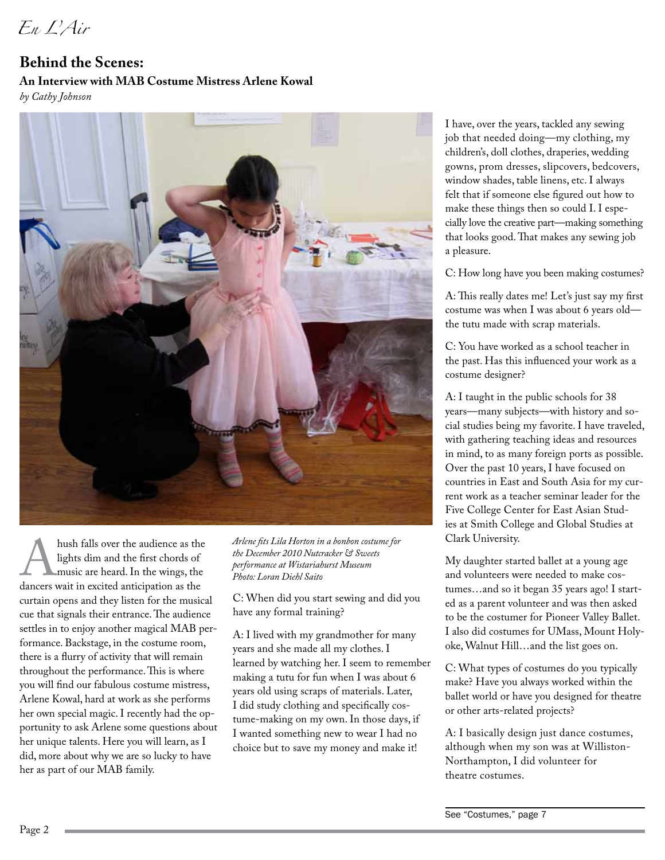*En L'Air*

## **Behind the Scenes: An Interview with MAB Costume Mistress Arlene Kowal**

*by Cathy Johnson*



hush falls over the audience as the lights dim and the first chords of music are heard. In the wings, the dancers wait in excited anticipation as the lights dim and the first chords of music are heard. In the wings, the curtain opens and they listen for the musical cue that signals their entrance. The audience settles in to enjoy another magical MAB performance. Backstage, in the costume room, there is a flurry of activity that will remain throughout the performance. This is where you will find our fabulous costume mistress, Arlene Kowal, hard at work as she performs her own special magic. I recently had the opportunity to ask Arlene some questions about her unique talents. Here you will learn, as I did, more about why we are so lucky to have her as part of our MAB family.

*Arlene fits Lila Horton in a bonbon costume for the December 2010 Nutcracker & Sweets performance at Wistariahurst Museum Photo: Loran Diehl Saito*

C: When did you start sewing and did you have any formal training?

A: I lived with my grandmother for many years and she made all my clothes. I learned by watching her. I seem to remember making a tutu for fun when I was about 6 years old using scraps of materials. Later, I did study clothing and specifically costume-making on my own. In those days, if I wanted something new to wear I had no choice but to save my money and make it!

I have, over the years, tackled any sewing job that needed doing—my clothing, my children's, doll clothes, draperies, wedding gowns, prom dresses, slipcovers, bedcovers, window shades, table linens, etc. I always felt that if someone else figured out how to make these things then so could I. I especially love the creative part—making something that looks good. That makes any sewing job a pleasure.

C: How long have you been making costumes?

A: This really dates me! Let's just say my first costume was when I was about 6 years old the tutu made with scrap materials.

C: You have worked as a school teacher in the past. Has this influenced your work as a costume designer?

A: I taught in the public schools for 38 years—many subjects—with history and social studies being my favorite. I have traveled, with gathering teaching ideas and resources in mind, to as many foreign ports as possible. Over the past 10 years, I have focused on countries in East and South Asia for my current work as a teacher seminar leader for the Five College Center for East Asian Studies at Smith College and Global Studies at Clark University.

My daughter started ballet at a young age and volunteers were needed to make costumes…and so it began 35 years ago! I started as a parent volunteer and was then asked to be the costumer for Pioneer Valley Ballet. I also did costumes for UMass, Mount Holyoke, Walnut Hill…and the list goes on.

C: What types of costumes do you typically make? Have you always worked within the ballet world or have you designed for theatre or other arts-related projects?

A: I basically design just dance costumes, although when my son was at Williston-Northampton, I did volunteer for theatre costumes.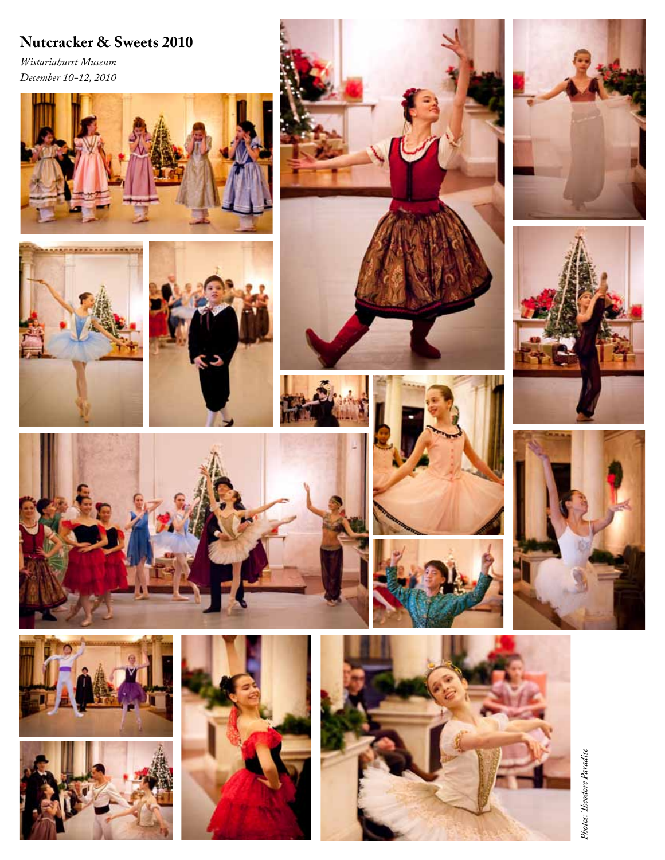# **Nutcracker & Sweets 2010**

*Wistariahurst Museum December 10-12, 2010*





















Photos: Theodore Paradise *Photos: Theodore Paradise*









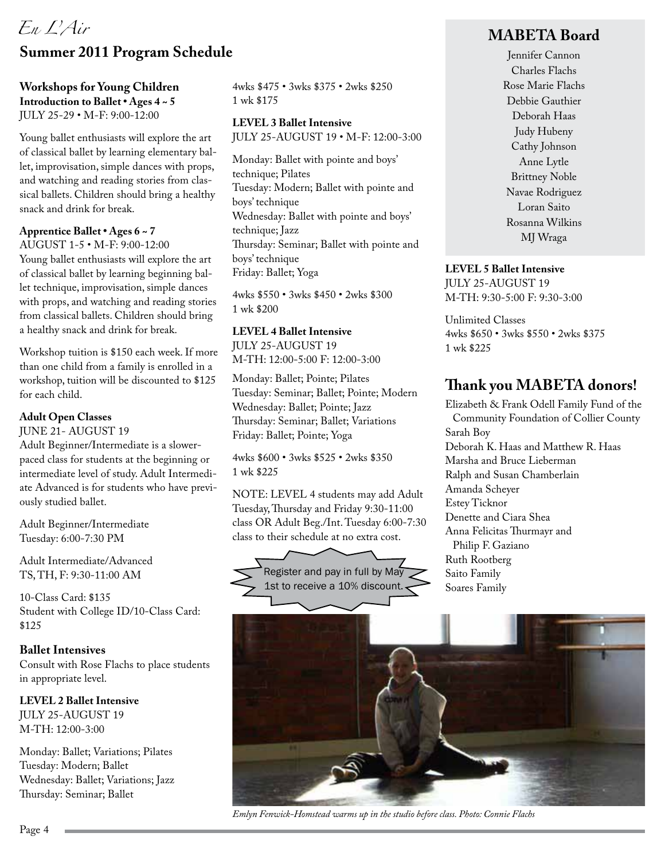# *En L'Air*

# **Summer 2011 Program Schedule**

#### **Workshops for Young Children Introduction to Ballet • Ages 4 ~ 5** JULY 25-29 • M-F: 9:00-12:00

Young ballet enthusiasts will explore the art of classical ballet by learning elementary ballet, improvisation, simple dances with props, and watching and reading stories from classical ballets. Children should bring a healthy snack and drink for break.

#### **Apprentice Ballet • Ages 6 ~ 7**

AUGUST 1-5 • M-F: 9:00-12:00 Young ballet enthusiasts will explore the art of classical ballet by learning beginning ballet technique, improvisation, simple dances with props, and watching and reading stories from classical ballets. Children should bring a healthy snack and drink for break.

Workshop tuition is \$150 each week. If more than one child from a family is enrolled in a workshop, tuition will be discounted to \$125 for each child.

#### **Adult Open Classes**

JUNE 21- AUGUST 19

Adult Beginner/Intermediate is a slowerpaced class for students at the beginning or intermediate level of study. Adult Intermediate Advanced is for students who have previously studied ballet.

Adult Beginner/Intermediate Tuesday: 6:00-7:30 PM

Adult Intermediate/Advanced TS, TH, F: 9:30-11:00 AM

10-Class Card: \$135 Student with College ID/10-Class Card: \$125

**Ballet Intensives** Consult with Rose Flachs to place students in appropriate level.

**LEVEL 2 Ballet Intensive** JULY 25-AUGUST 19 M-TH: 12:00-3:00

Monday: Ballet; Variations; Pilates Tuesday: Modern; Ballet Wednesday: Ballet; Variations; Jazz Thursday: Seminar; Ballet

4wks \$475 • 3wks \$375 • 2wks \$250 1 wk \$175

**LEVEL 3 Ballet Intensive** JULY 25-AUGUST 19 • M-F: 12:00-3:00

Monday: Ballet with pointe and boys' technique; Pilates Tuesday: Modern; Ballet with pointe and boys' technique Wednesday: Ballet with pointe and boys' technique; Jazz Thursday: Seminar; Ballet with pointe and boys' technique Friday: Ballet; Yoga

4wks \$550 • 3wks \$450 • 2wks \$300 1 wk \$200

#### **LEVEL 4 Ballet Intensive**

JULY 25-AUGUST 19 M-TH: 12:00-5:00 F: 12:00-3:00

Monday: Ballet; Pointe; Pilates Tuesday: Seminar; Ballet; Pointe; Modern Wednesday: Ballet; Pointe; Jazz Thursday: Seminar; Ballet; Variations Friday: Ballet; Pointe; Yoga

4wks \$600 • 3wks \$525 • 2wks \$350 1 wk \$225

NOTE: LEVEL 4 students may add Adult Tuesday, Thursday and Friday 9:30-11:00 class OR Adult Beg./Int. Tuesday 6:00-7:30 class to their schedule at no extra cost.



#### **MABETA Board**

Jennifer Cannon Charles Flachs Rose Marie Flachs Debbie Gauthier Deborah Haas Judy Hubeny Cathy Johnson Anne Lytle Brittney Noble Navae Rodriguez Loran Saito Rosanna Wilkins MJ Wraga

#### **LEVEL 5 Ballet Intensive**

JULY 25-AUGUST 19 M-TH: 9:30-5:00 F: 9:30-3:00

Unlimited Classes 4wks \$650 • 3wks \$550 • 2wks \$375 1 wk \$225

## **Thank you MABETA donors!**

Elizabeth & Frank Odell Family Fund of the Community Foundation of Collier County Sarah Boy Deborah K. Haas and Matthew R. Haas Marsha and Bruce Lieberman Ralph and Susan Chamberlain Amanda Scheyer Estey Ticknor Denette and Ciara Shea Anna Felicitas Thurmayr and Philip F. Gaziano Ruth Rootberg Saito Family Soares Family



*Emlyn Fenwick-Homstead warms up in the studio before class. Photo: Connie Flachs*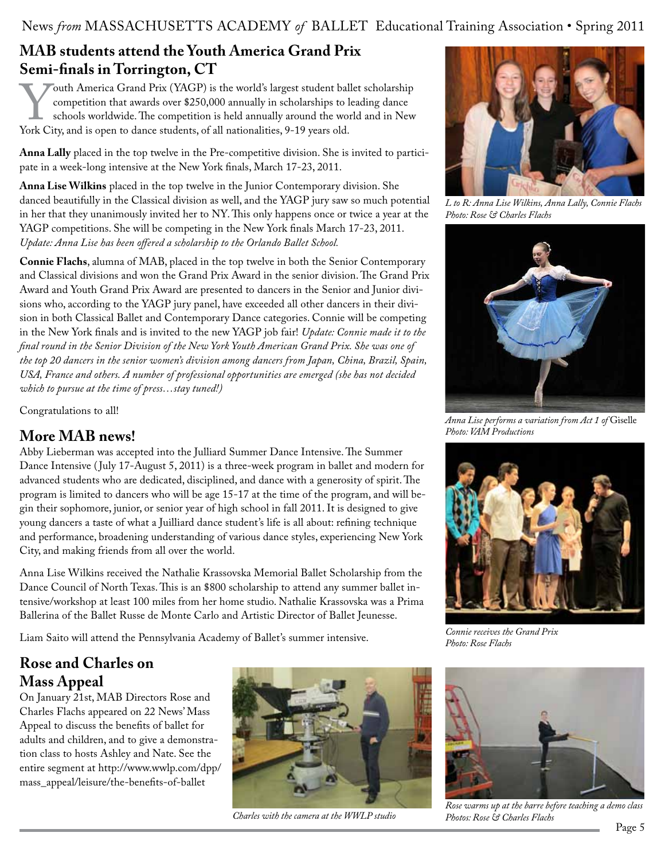#### News *from* MASSACHUSETTS ACADEMY of BALLET Educational Training Association • Spring 2011

## **MAB students attend the Youth America Grand Prix Semi-finals in Torrington, CT**

Fouth America Grand Prix (YAGP) is the world's largest student ballet scholarship<br>competition that awards over \$250,000 annually in scholarships to leading dance<br>schools worldwide. The competition is held annually around t competition that awards over \$250,000 annually in scholarships to leading dance schools worldwide. The competition is held annually around the world and in New York City, and is open to dance students, of all nationalities, 9-19 years old.

**Anna Lally** placed in the top twelve in the Pre-competitive division. She is invited to participate in a week-long intensive at the New York finals, March 17-23, 2011.

**Anna Lise Wilkins** placed in the top twelve in the Junior Contemporary division. She danced beautifully in the Classical division as well, and the YAGP jury saw so much potential in her that they unanimously invited her to NY. This only happens once or twice a year at the YAGP competitions. She will be competing in the New York finals March 17-23, 2011. *Update: Anna Lise has been offered a scholarship to the Orlando Ballet School.*

**Connie Flachs**, alumna of MAB, placed in the top twelve in both the Senior Contemporary and Classical divisions and won the Grand Prix Award in the senior division. The Grand Prix Award and Youth Grand Prix Award are presented to dancers in the Senior and Junior divisions who, according to the YAGP jury panel, have exceeded all other dancers in their division in both Classical Ballet and Contemporary Dance categories. Connie will be competing in the New York finals and is invited to the new YAGP job fair! *Update: Connie made it to the final round in the Senior Division of the New York Youth American Grand Prix. She was one of the top 20 dancers in the senior women's division among dancers from Japan, China, Brazil, Spain, USA, France and others. A number of professional opportunities are emerged (she has not decided which to pursue at the time of press…stay tuned!)*

Congratulations to all!

## **More MAB news!**

Abby Lieberman was accepted into the Julliard Summer Dance Intensive. The Summer Dance Intensive ( July 17-August 5, 2011) is a three-week program in ballet and modern for advanced students who are dedicated, disciplined, and dance with a generosity of spirit. The program is limited to dancers who will be age 15-17 at the time of the program, and will begin their sophomore, junior, or senior year of high school in fall 2011. It is designed to give young dancers a taste of what a Juilliard dance student's life is all about: refining technique and performance, broadening understanding of various dance styles, experiencing New York City, and making friends from all over the world.

Anna Lise Wilkins received the Nathalie Krassovska Memorial Ballet Scholarship from the Dance Council of North Texas. This is an \$800 scholarship to attend any summer ballet intensive/workshop at least 100 miles from her home studio. Nathalie Krassovska was a Prima Ballerina of the Ballet Russe de Monte Carlo and Artistic Director of Ballet Jeunesse.

Liam Saito will attend the Pennsylvania Academy of Ballet's summer intensive.

# **Rose and Charles on Mass Appeal**

On January 21st, MAB Directors Rose and Charles Flachs appeared on 22 News' Mass Appeal to discuss the benefits of ballet for adults and children, and to give a demonstration class to hosts Ashley and Nate. See the entire segment at http://www.wwlp.com/dpp/ mass\_appeal/leisure/the-benefits-of-ballet



*Charles with the camera at the WWLP studio*



*L to R: Anna Lise Wilkins, Anna Lally, Connie Flachs Photo: Rose & Charles Flachs*



*Anna Lise performs a variation from Act 1 of* Giselle *Photo: VAM Productions*



*Connie receives the Grand Prix Photo: Rose Flachs*



*Rose warms up at the barre before teaching a demo class Photos: Rose & Charles Flachs*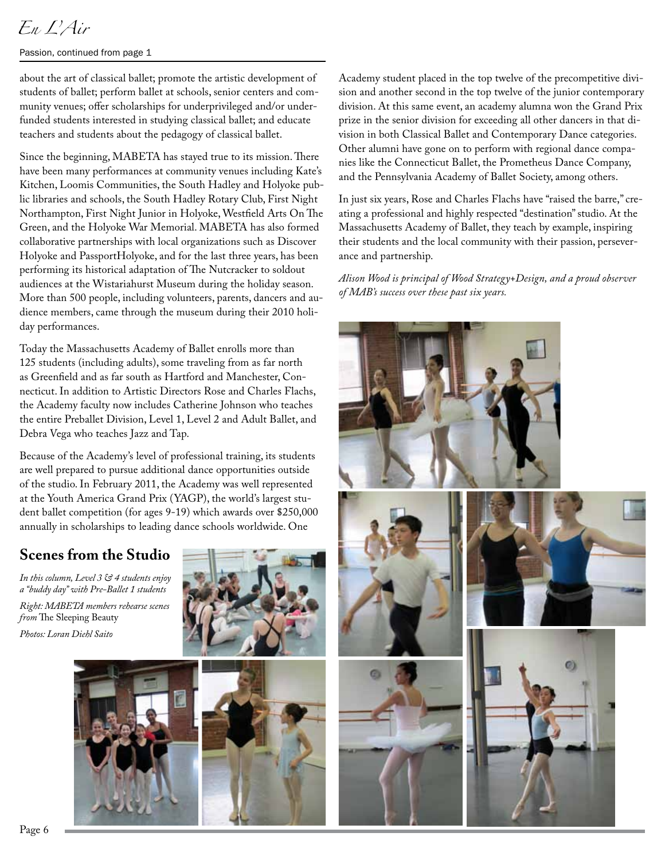# *En L'Air*

Passion, continued from page 1

about the art of classical ballet; promote the artistic development of students of ballet; perform ballet at schools, senior centers and community venues; offer scholarships for underprivileged and/or underfunded students interested in studying classical ballet; and educate teachers and students about the pedagogy of classical ballet.

Since the beginning, MABETA has stayed true to its mission. There have been many performances at community venues including Kate's Kitchen, Loomis Communities, the South Hadley and Holyoke public libraries and schools, the South Hadley Rotary Club, First Night Northampton, First Night Junior in Holyoke, Westfield Arts On The Green, and the Holyoke War Memorial. MABETA has also formed collaborative partnerships with local organizations such as Discover Holyoke and PassportHolyoke, and for the last three years, has been performing its historical adaptation of The Nutcracker to soldout audiences at the Wistariahurst Museum during the holiday season. More than 500 people, including volunteers, parents, dancers and audience members, came through the museum during their 2010 holiday performances.

Today the Massachusetts Academy of Ballet enrolls more than 125 students (including adults), some traveling from as far north as Greenfield and as far south as Hartford and Manchester, Connecticut. In addition to Artistic Directors Rose and Charles Flachs, the Academy faculty now includes Catherine Johnson who teaches the entire Preballet Division, Level 1, Level 2 and Adult Ballet, and Debra Vega who teaches Jazz and Tap.

Because of the Academy's level of professional training, its students are well prepared to pursue additional dance opportunities outside of the studio. In February 2011, the Academy was well represented at the Youth America Grand Prix (YAGP), the world's largest student ballet competition (for ages 9-19) which awards over \$250,000 annually in scholarships to leading dance schools worldwide. One

# **Scenes from the Studio**

*In this column, Level 3 & 4 students enjoy a "buddy day" with Pre-Ballet 1 students Right: MABETA members rehearse scenes from* The Sleeping Beauty *Photos: Loran Diehl Saito*







Academy student placed in the top twelve of the precompetitive division and another second in the top twelve of the junior contemporary division. At this same event, an academy alumna won the Grand Prix prize in the senior division for exceeding all other dancers in that division in both Classical Ballet and Contemporary Dance categories. Other alumni have gone on to perform with regional dance companies like the Connecticut Ballet, the Prometheus Dance Company, and the Pennsylvania Academy of Ballet Society, among others.

In just six years, Rose and Charles Flachs have "raised the barre," creating a professional and highly respected "destination" studio. At the Massachusetts Academy of Ballet, they teach by example, inspiring their students and the local community with their passion, perseverance and partnership.

*Alison Wood is principal of Wood Strategy+Design, and a proud observer of MAB's success over these past six years.*

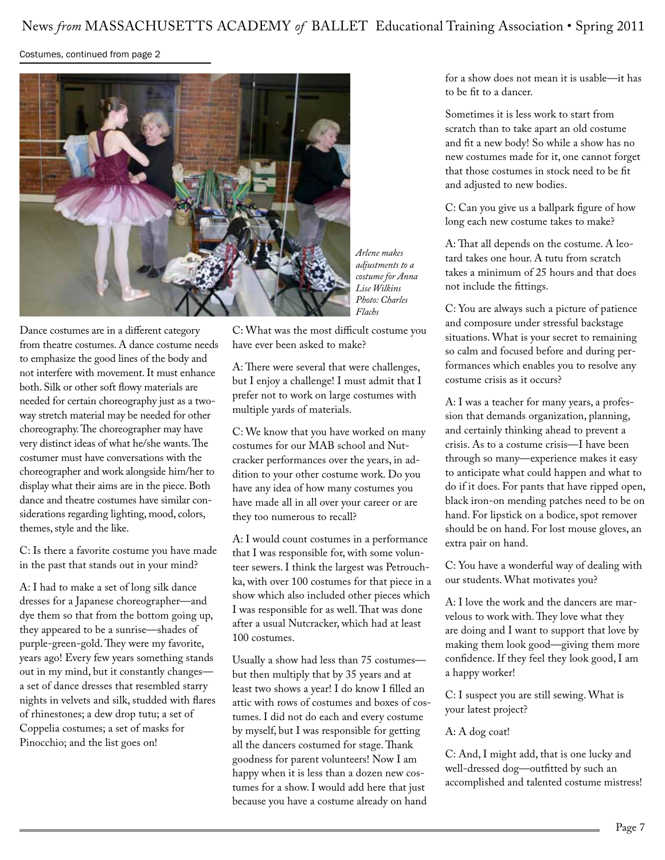#### Costumes, continued from page 2



*Arlene makes adjustments to a costume for Anna Lise Wilkins Photo: Charles Flachs*

Dance costumes are in a different category from theatre costumes. A dance costume needs to emphasize the good lines of the body and not interfere with movement. It must enhance both. Silk or other soft flowy materials are needed for certain choreography just as a twoway stretch material may be needed for other choreography. The choreographer may have very distinct ideas of what he/she wants. The costumer must have conversations with the choreographer and work alongside him/her to display what their aims are in the piece. Both dance and theatre costumes have similar considerations regarding lighting, mood, colors, themes, style and the like.

C: Is there a favorite costume you have made in the past that stands out in your mind?

A: I had to make a set of long silk dance dresses for a Japanese choreographer—and dye them so that from the bottom going up, they appeared to be a sunrise—shades of purple-green-gold. They were my favorite, years ago! Every few years something stands out in my mind, but it constantly changes a set of dance dresses that resembled starry nights in velvets and silk, studded with flares of rhinestones; a dew drop tutu; a set of Coppelia costumes; a set of masks for Pinocchio; and the list goes on!

C: What was the most difficult costume you have ever been asked to make?

A: There were several that were challenges, but I enjoy a challenge! I must admit that I prefer not to work on large costumes with multiple yards of materials.

C: We know that you have worked on many costumes for our MAB school and Nutcracker performances over the years, in addition to your other costume work. Do you have any idea of how many costumes you have made all in all over your career or are they too numerous to recall?

A: I would count costumes in a performance that I was responsible for, with some volunteer sewers. I think the largest was Petrouchka, with over 100 costumes for that piece in a show which also included other pieces which I was responsible for as well. That was done after a usual Nutcracker, which had at least 100 costumes.

Usually a show had less than 75 costumes but then multiply that by 35 years and at least two shows a year! I do know I filled an attic with rows of costumes and boxes of costumes. I did not do each and every costume by myself, but I was responsible for getting all the dancers costumed for stage. Thank goodness for parent volunteers! Now I am happy when it is less than a dozen new costumes for a show. I would add here that just because you have a costume already on hand

for a show does not mean it is usable—it has to be fit to a dancer.

Sometimes it is less work to start from scratch than to take apart an old costume and fit a new body! So while a show has no new costumes made for it, one cannot forget that those costumes in stock need to be fit and adjusted to new bodies.

C: Can you give us a ballpark figure of how long each new costume takes to make?

A: That all depends on the costume. A leotard takes one hour. A tutu from scratch takes a minimum of 25 hours and that does not include the fittings.

C: You are always such a picture of patience and composure under stressful backstage situations. What is your secret to remaining so calm and focused before and during performances which enables you to resolve any costume crisis as it occurs?

A: I was a teacher for many years, a profession that demands organization, planning, and certainly thinking ahead to prevent a crisis. As to a costume crisis—I have been through so many—experience makes it easy to anticipate what could happen and what to do if it does. For pants that have ripped open, black iron-on mending patches need to be on hand. For lipstick on a bodice, spot remover should be on hand. For lost mouse gloves, an extra pair on hand.

C: You have a wonderful way of dealing with our students. What motivates you?

A: I love the work and the dancers are marvelous to work with. They love what they are doing and I want to support that love by making them look good—giving them more confidence. If they feel they look good, I am a happy worker!

C: I suspect you are still sewing. What is your latest project?

#### A: A dog coat!

C: And, I might add, that is one lucky and well-dressed dog—outfitted by such an accomplished and talented costume mistress!